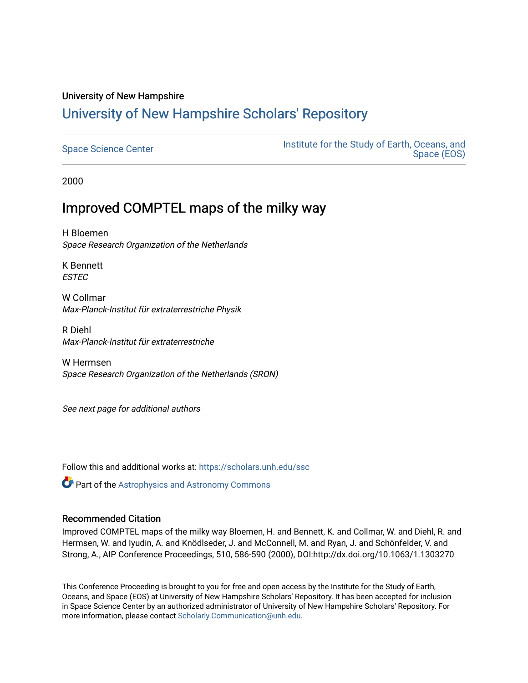# University of New Hampshire

# [University of New Hampshire Scholars' Repository](https://scholars.unh.edu/)

| <b>Space Science Center</b> | Institute for the Study of Earth, Oceans, and<br>Space (EOS) |
|-----------------------------|--------------------------------------------------------------|
|-----------------------------|--------------------------------------------------------------|

2000

# Improved COMPTEL maps of the milky way

H Bloemen Space Research Organization of the Netherlands

K Bennett ESTEC

W Collmar Max-Planck-Institut für extraterrestriche Physik

R Diehl Max-Planck-Institut für extraterrestriche

W Hermsen Space Research Organization of the Netherlands (SRON)

See next page for additional authors

Follow this and additional works at: [https://scholars.unh.edu/ssc](https://scholars.unh.edu/ssc?utm_source=scholars.unh.edu%2Fssc%2F133&utm_medium=PDF&utm_campaign=PDFCoverPages)

**Part of the Astrophysics and Astronomy Commons** 

### Recommended Citation

Improved COMPTEL maps of the milky way Bloemen, H. and Bennett, K. and Collmar, W. and Diehl, R. and Hermsen, W. and Iyudin, A. and Knödlseder, J. and McConnell, M. and Ryan, J. and Schönfelder, V. and Strong, A., AIP Conference Proceedings, 510, 586-590 (2000), DOI:http://dx.doi.org/10.1063/1.1303270

This Conference Proceeding is brought to you for free and open access by the Institute for the Study of Earth, Oceans, and Space (EOS) at University of New Hampshire Scholars' Repository. It has been accepted for inclusion in Space Science Center by an authorized administrator of University of New Hampshire Scholars' Repository. For more information, please contact [Scholarly.Communication@unh.edu.](mailto:Scholarly.Communication@unh.edu)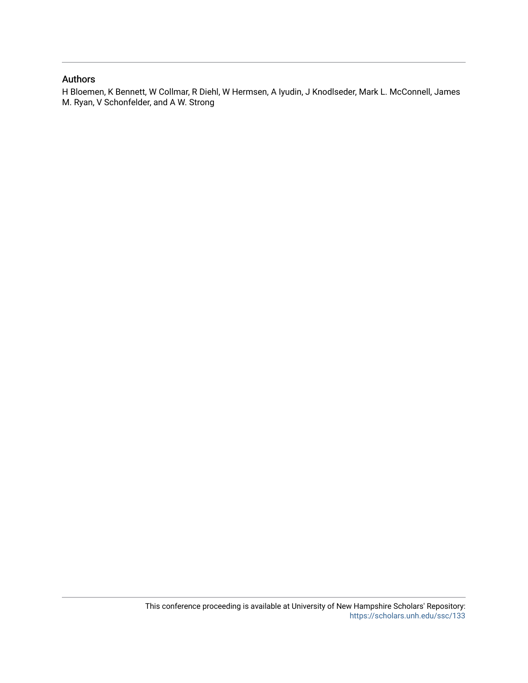### Authors

H Bloemen, K Bennett, W Collmar, R Diehl, W Hermsen, A Iyudin, J Knodlseder, Mark L. McConnell, James M. Ryan, V Schonfelder, and A W. Strong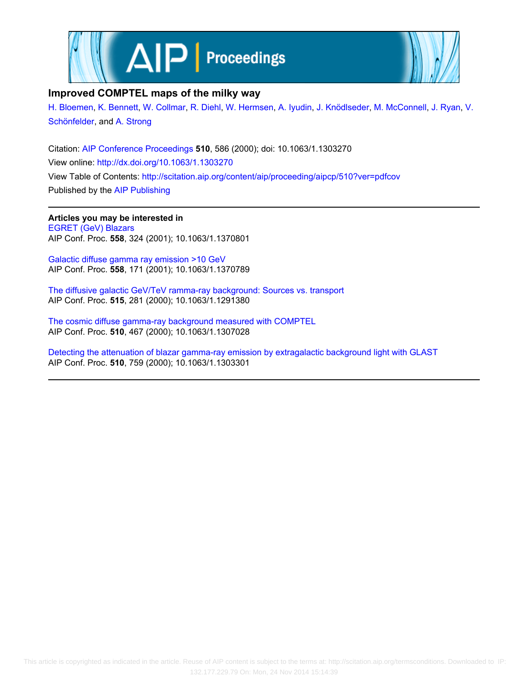



### **Improved COMPTEL maps of the milky way**

[H. Bloemen](http://scitation.aip.org/search?value1=H.+Bloemen&option1=author), [K. Bennett](http://scitation.aip.org/search?value1=K.+Bennett&option1=author), [W. Collmar](http://scitation.aip.org/search?value1=W.+Collmar&option1=author), [R. Diehl,](http://scitation.aip.org/search?value1=R.+Diehl&option1=author) [W. Hermsen,](http://scitation.aip.org/search?value1=W.+Hermsen&option1=author) [A. Iyudin,](http://scitation.aip.org/search?value1=A.+Iyudin&option1=author) [J. Knödlseder,](http://scitation.aip.org/search?value1=J.+Kn�dlseder&option1=author) [M. McConnell](http://scitation.aip.org/search?value1=M.+McConnell&option1=author), [J. Ryan,](http://scitation.aip.org/search?value1=J.+Ryan&option1=author) [V.](http://scitation.aip.org/search?value1=V.+Sch�nfelder&option1=author) [Schönfelder](http://scitation.aip.org/search?value1=V.+Sch�nfelder&option1=author), and [A. Strong](http://scitation.aip.org/search?value1=A.+Strong&option1=author)

Citation: [AIP Conference Proceedings](http://scitation.aip.org/content/aip/proceeding/aipcp?ver=pdfcov) **510**, 586 (2000); doi: 10.1063/1.1303270 View online: <http://dx.doi.org/10.1063/1.1303270> View Table of Contents: <http://scitation.aip.org/content/aip/proceeding/aipcp/510?ver=pdfcov> Published by the [AIP Publishing](http://scitation.aip.org/content/aip?ver=pdfcov)

**Articles you may be interested in** [EGRET \(GeV\) Blazars](http://scitation.aip.org/content/aip/proceeding/aipcp/10.1063/1.1370801?ver=pdfcov) AIP Conf. Proc. **558**, 324 (2001); 10.1063/1.1370801

[Galactic diffuse gamma ray emission >10 GeV](http://scitation.aip.org/content/aip/proceeding/aipcp/10.1063/1.1370789?ver=pdfcov) AIP Conf. Proc. **558**, 171 (2001); 10.1063/1.1370789

[The diffusive galactic GeV/TeV ramma-ray background: Sources vs. transport](http://scitation.aip.org/content/aip/proceeding/aipcp/10.1063/1.1291380?ver=pdfcov) AIP Conf. Proc. **515**, 281 (2000); 10.1063/1.1291380

[The cosmic diffuse gamma-ray background measured with COMPTEL](http://scitation.aip.org/content/aip/proceeding/aipcp/10.1063/1.1307028?ver=pdfcov) AIP Conf. Proc. **510**, 467 (2000); 10.1063/1.1307028

[Detecting the attenuation of blazar gamma-ray emission by extragalactic background light with GLAST](http://scitation.aip.org/content/aip/proceeding/aipcp/10.1063/1.1303301?ver=pdfcov) AIP Conf. Proc. **510**, 759 (2000); 10.1063/1.1303301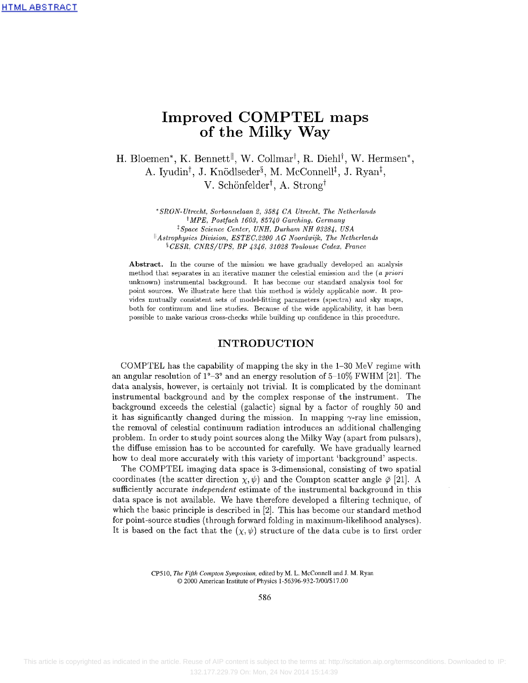### **Improved COMPTEL maps of the Milky Way**

H. Bloemen\*, K. Bennett<sup>||</sup>, W. Collmar<sup>†</sup>, R. Diehl<sup>†</sup>, W. Hermsen\*, A. Iyudin<sup>†</sup>, J. Knödlseder<sup>§</sup>, M. McConnell<sup>‡</sup>, J. Ryan<sup>‡</sup>,  $V.$  Schönfelder<sup>†</sup>, A. Strong<sup>†</sup>

> *\*SRON-Utrecht, Sorbonnelaan 2, 3584 CA Utrecht, The Netherlands ^MPE, Postfach 1603, 85740 Garching, Germany* \* *Space Science Center, UNH, Durham NH 03284, USA ^Astrophysics Division, ESTEC,2200 AG Noordwijk, The Netherlands* <sup>§</sup> CESR, CNRS/UPS, BP 4346, 31028 Toulouse Cedex, France

**Abstract.** In the course of the mission we have gradually developed an analysis method that separates in an iterative manner the celestial emission and the *(a priori* unknown) instrumental background. It has become our standard analysis tool for point sources. We illustrate here that this method is widely applicable now. It provides mutually consistent sets of model-fitting parameters (spectra) and sky maps, both for continuum and line studies. Because of the wide applicability, it has been possible to make various cross-checks while building up confidence in this procedure.

### **INTRODUCTION**

COMPTEL has the capability of mapping the sky in the 1-30 MeV regime with an angular resolution of  $1^{\circ}-3^{\circ}$  and an energy resolution of 5-10% FWHM [21]. The data analysis, however, is certainly not trivial. It is complicated by the dominant instrumental background and by the complex response of the instrument. The background exceeds the celestial (galactic) signal by a factor of roughly 50 and it has significantly changed during the mission. In mapping  $\gamma$ -ray line emission, the removal of celestial continuum radiation introduces an additional challenging problem. In order to study point sources along the Milky Way (apart from pulsars), the diffuse emission has to be accounted for carefully. We have gradually learned how to deal more accurately with this variety of important 'background' aspects.

The COMPTEL imaging data space is 3-dimensional, consisting of two spatial coordinates (the scatter direction  $\chi, \psi$ ) and the Compton scatter angle  $\bar{\varphi}$  [21]. A sufficiently accurate *independent* estimate of the instrumental background in this data space is not available. We have therefore developed a filtering technique, of which the basic principle is described in [2]. This has become our standard method for point-source studies (through forward folding in maximum-likelihood analyses). It is based on the fact that the  $(\chi, \psi)$  structure of the data cube is to first order

> CP510, *The Fifth Compton Symposium,* edited by M. L. McConnell and J. M. Ryan © 2000 American Institute of Physics l-56396-932-7/00/\$17.00

> > 586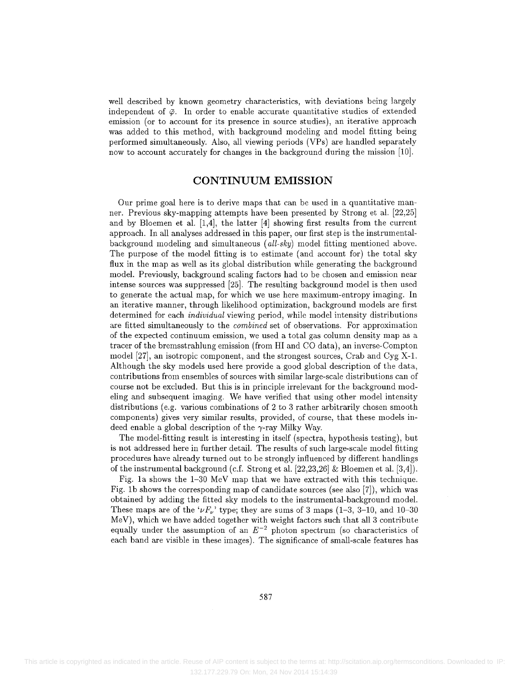well described by known geometry characteristics, with deviations being largely independent of  $\bar{\varphi}$ . In order to enable accurate quantitative studies of extended emission (or to account for its presence in source studies), an iterative approach was added to this method, with background modeling and model fitting being performed simultaneously. Also, all viewing periods (VPs) are handled separately now to account accurately for changes in the background during the mission [10].

### **CONTINUUM EMISSION**

Our prime goal here is to derive maps that can be used in a quantitative manner. Previous sky-mapping attempts have been presented by Strong et al. [22,25] and by Bloemen et al. [1,4], the latter [4] showing first results from the current approach. In all analyses addressed in this paper, our first step is the instrumentalbackground modeling and simultaneous *(all-sky)* model fitting mentioned above. The purpose of the model fitting is to estimate (and account for) the total sky flux in the map as well as its global distribution while generating the background model. Previously, background scaling factors had to be chosen and emission near intense sources was suppressed [25]. The resulting background model is then used to generate the actual map, for which we use here maximum-entropy imaging. In an iterative manner, through likelihood optimization, background models are first determined for each *individual* viewing period, while model intensity distributions are fitted simultaneously to the *combined* set of observations. For approximation of the expected continuum emission, we used a total gas column density map as a tracer of the bremsstrahlung emission (from HI and CO data), an inverse-Compton model [27], an isotropic component, and the strongest sources, Crab and Cyg X-l. Although the sky models used here provide a good global description of the data, contributions from ensembles of sources with similar large-scale distributions can of course not be excluded. But this is in principle irrelevant for the background modeling and subsequent imaging. We have verified that using other model intensity distributions (e.g. various combinations of 2 to 3 rather arbitrarily chosen smooth components) gives very similar results, provided, of course, that these models indeed enable a global description of the  $\gamma$ -ray Milky Way.

The model-fitting result is interesting in itself (spectra, hypothesis testing), but is not addressed here in further detail. The results of such large-scale model fitting procedures have already turned out to be strongly influenced by different handlings of the instrumental background (c.f. Strong et al. [22,23,26] & Bloemen et al. [3,4]).

Fig. la shows the 1-30 MeV map that we have extracted with this technique. Fig. Ib shows the corresponding map of candidate sources (see also [7]), which was obtained by adding the fitted sky models to the instrumental-background model. These maps are of the  $\iota\nu F_{\nu}$ ' type; they are sums of 3 maps (1-3, 3-10, and 10-30 MeV), which we have added together with weight factors such that all 3 contribute equally under the assumption of an  $E^{-2}$  photon spectrum (so characteristics of each band are visible in these images). The significance of small-scale features has

587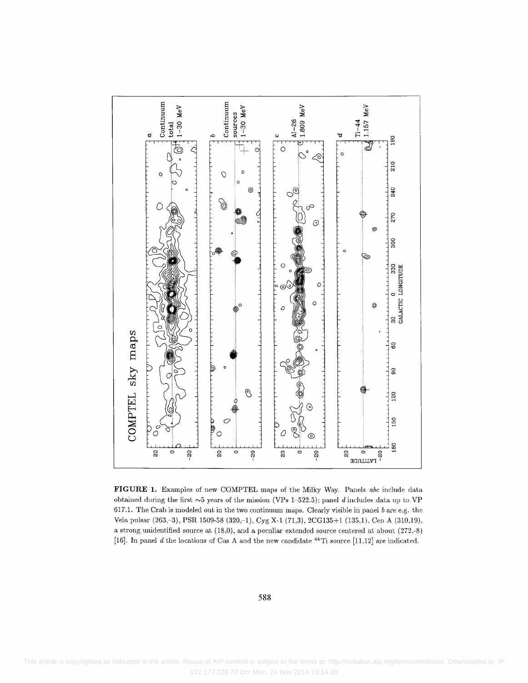

**FIGURE 1.** Examples of new COMPTEL maps of the Milky Way. Panels *abc* include data obtained during the first  $\sim$ 5 years of the mission (VPs 1-522.5); panel *d* includes data up to VP 617.1. The Crab is modeled out in the two continuum maps. Clearly visible in panel *b* are e.g. the Vela pulsar (263,-3), PSR 1509-58 (320,-1), Cyg X-l (71,3), 2CG135+1 (135,1), Cen A (310,19), a strong unidentified source at (18,0), and a peculiar extended source centered at about (272,-8) [16]. In panel *d* the locations of Cas A and the new candidate <sup>44</sup>Ti source [11,12] are indicated

#### 588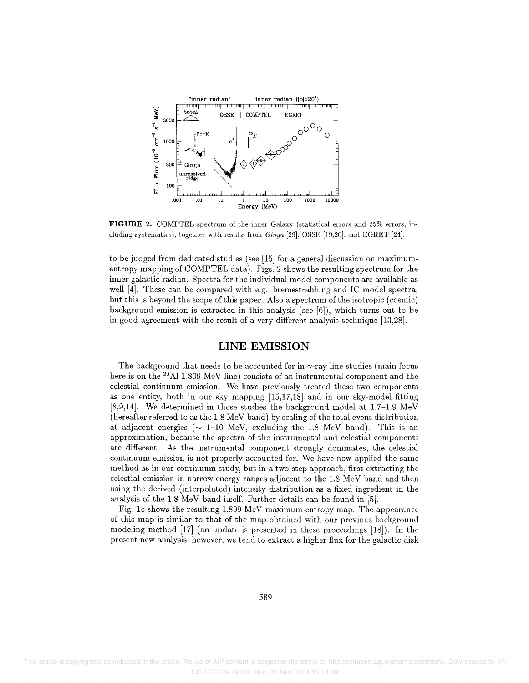

**FIGURE 2.** COMPTEL spectrum of the inner Galaxy (statistical errors and 25% errors, including systematics), together with results from *Ginga* [29], OSSE [19,20], and EGRET [24].

to be judged from dedicated studies (see [15] for a general discussion on maximumentropy mapping of COMPTEL data). Figs. 2 shows the resulting spectrum for the inner galactic radian. Spectra for the individual model components are available as well [4]. These can be compared with e.g. bremsstrahlung and 1C model spectra, but this is beyond the scope of this paper. Also a spectrum of the isotropic (cosmic) background emission is extracted in this analysis (see [6]), which turns out to be in good agreement with the result of a very different analysis technique [13,28].

#### LINE EMISSION

The background that needs to be accounted for in  $\gamma$ -ray line studies (main focus here is on the  $^{26}\mathrm{Al}$  1.809 MeV line) consists of an instrumental component and the celestial continuum emission. We have previously treated these two components as one entity, both in our sky mapping [15,17,18] and in our sky-model fitting [8,9,14]. We determined in those studies the background model at  $1.7-1.9 \text{ MeV}$ (hereafter referred to as the 1.8 MeV band) by scaling of the total event distribution at adjacent energies ( $\sim$  1–10 MeV, excluding the 1.8 MeV band). This is an approximation, because the spectra of the instrumental and celestial components are different. As the instrumental component strongly dominates, the celestial continuum emission is not properly accounted for. We have now applied the same method as in our continuum study, but in a two-step approach, first extracting the celestial emission in narrow energy ranges adjacent to the 1.8 MeV band and then using the derived (interpolated) intensity distribution as a fixed ingredient in the analysis of the 1.8 MeV band itself. Further details can be found in [5].

Fig. Ic shows the resulting 1.809 MeV maximum-entropy map. The appearance of this map is similar to that of the map obtained with our previous background modeling method [17] (an update is presented in these proceedings [18]). In the present new analysis, however, we tend to extract a higher flux for the galactic disk